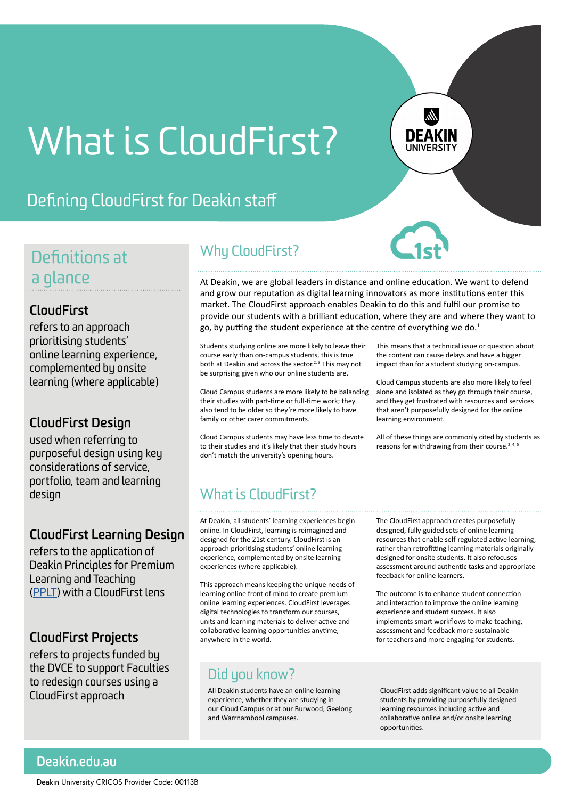# What is CloudFirst?

### Defining CloudFirst for Deakin staff

### Definitions at a glance

### **CloudFirst**

refers to an approach prioritising students' online learning experience, complemented by onsite learning (where applicable)

### **CloudFirst Design**

used when referring to purposeful design using key considerations of service, portfolio, team and learning design

### **CloudFirst Learning Design**

refers to the application of Deakin Principles for Premium Learning and Teaching ([PPLT\)](http://dteach.deakin.edu.au/wp-content/uploads/sites/103/2019/03/principles-premium-lt-002.pdf) with a CloudFirst lens

### **CloudFirst Projects**

refers to projects funded by the DVCE to support Faculties to redesign courses using a CloudFirst approach

### Why CloudFirst?

At Deakin, we are global leaders in distance and online education. We want to defend and grow our reputation as digital learning innovators as more institutions enter this market. The CloudFirst approach enables Deakin to do this and fulfil our promise to provide our students with a brilliant education, where they are and where they want to go, by putting the student experience at the centre of everything we do.<sup>1</sup>

Students studying online are more likely to leave their course early than on-campus students, this is true both at Deakin and across the sector.<sup>2, 3</sup> This may not be surprising given who our online students are.

Cloud Campus students are more likely to be balancing their studies with part-time or full-time work; they also tend to be older so they're more likely to have family or other carer commitments.

Cloud Campus students may have less time to devote to their studies and it's likely that their study hours don't match the university's opening hours.

This means that a technical issue or question about the content can cause delays and have a bigger impact than for a student studying on-campus.

Cloud Campus students are also more likely to feel alone and isolated as they go through their course, and they get frustrated with resources and services that aren't purposefully designed for the online learning environment.

All of these things are commonly cited by students as reasons for withdrawing from their course.<sup>2, 4, 5</sup>

### What is CloudFirst?

At Deakin, all students' learning experiences begin online. In CloudFirst, learning is reimagined and designed for the 21st century. CloudFirst is an approach prioritising students' online learning experience, complemented by onsite learning experiences (where applicable).

This approach means keeping the unique needs of learning online front of mind to create premium online learning experiences. CloudFirst leverages digital technologies to transform our courses, units and learning materials to deliver active and collaborative learning opportunities anytime, anywhere in the world.

### Did you know?

All Deakin students have an online learning experience, whether they are studying in our Cloud Campus or at our Burwood, Geelong and Warrnambool campuses.

The CloudFirst approach creates purposefully designed, fully-guided sets of online learning resources that enable self-regulated active learning, rather than retrofitting learning materials originally designed for onsite students. It also refocuses assessment around authentic tasks and appropriate feedback for online learners.

The outcome is to enhance student connection and interaction to improve the online learning experience and student success. It also implements smart workflows to make teaching, assessment and feedback more sustainable for teachers and more engaging for students.

CloudFirst adds significant value to all Deakin students by providing purposefully designed learning resources including active and collaborative online and/or onsite learning opportunities.

**Deakin.edu.au**